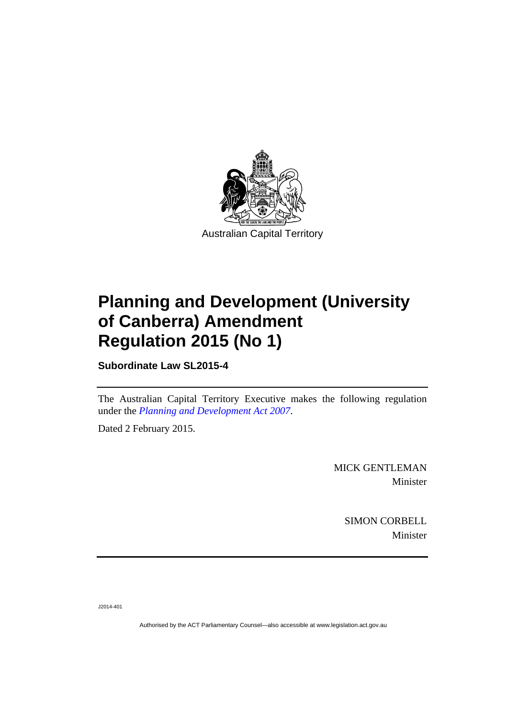

# **Planning and Development (University of Canberra) Amendment Regulation 2015 (No 1)**

**Subordinate Law SL2015-4** 

The Australian Capital Territory Executive makes the following regulation under the *[Planning and Development Act 2007](http://www.legislation.act.gov.au/a/2007-24)*.

Dated 2 February 2015.

MICK GENTLEMAN Minister

> SIMON CORBELL Minister

J2014-401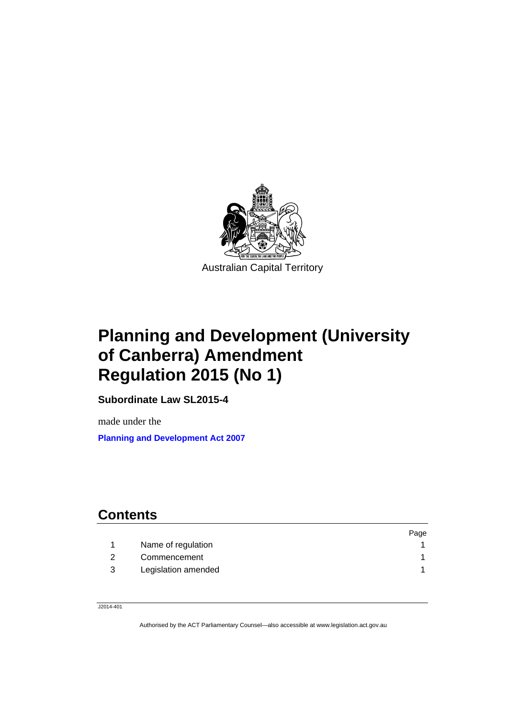

## **Planning and Development (University of Canberra) Amendment Regulation 2015 (No 1)**

**Subordinate Law SL2015-4** 

made under the <sup>2</sup>**[Planning and Development Act 2007](http://www.legislation.act.gov.au/a/2007-24)**

## **Contents**

|              |                     | Page |
|--------------|---------------------|------|
|              | Name of regulation  |      |
| <sup>2</sup> | Commencement        |      |
| - 3          | Legislation amended |      |

J2014-401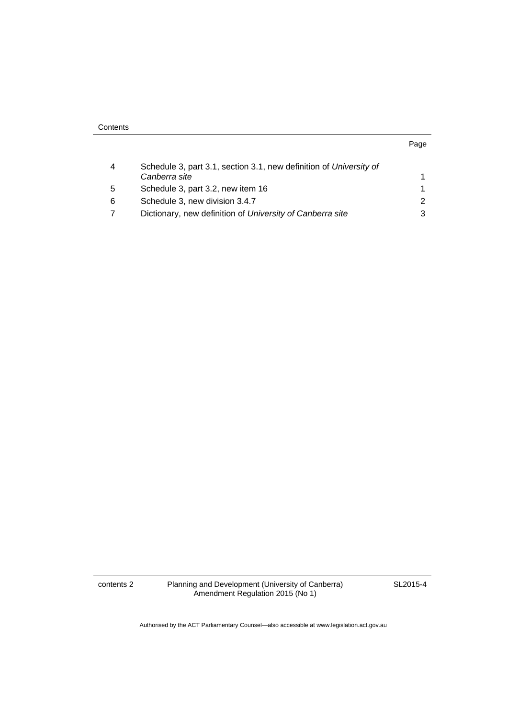| . .<br>×<br>۰. |  |
|----------------|--|

| 4 | Schedule 3, part 3.1, section 3.1, new definition of University of |   |
|---|--------------------------------------------------------------------|---|
|   | Canberra site                                                      |   |
| 5 | Schedule 3, part 3.2, new item 16                                  |   |
| 6 | Schedule 3, new division 3.4.7                                     | 2 |
|   | Dictionary, new definition of University of Canberra site          | 3 |

contents 2 Planning and Development (University of Canberra) Amendment Regulation 2015 (No 1)

SL2015-4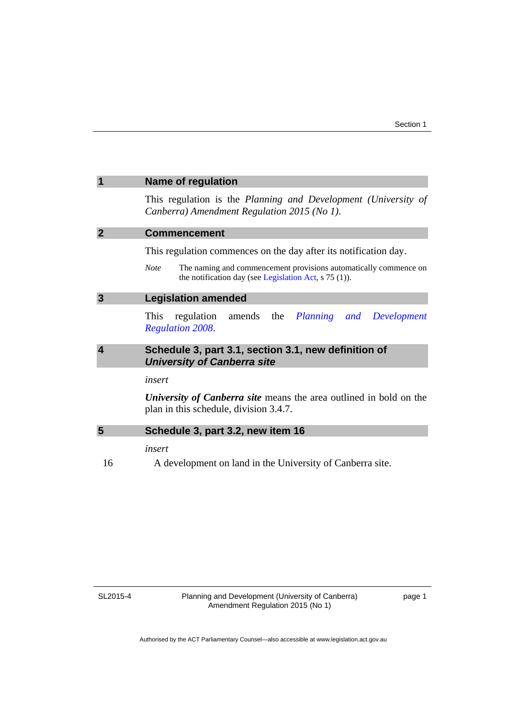<span id="page-4-3"></span><span id="page-4-2"></span><span id="page-4-1"></span><span id="page-4-0"></span>

|                | <b>Name of regulation</b>                                                                                                                                                                                                           |  |
|----------------|-------------------------------------------------------------------------------------------------------------------------------------------------------------------------------------------------------------------------------------|--|
|                | This regulation is the Planning and Development (University of<br>Canberra) Amendment Regulation 2015 (No 1).                                                                                                                       |  |
| $\overline{2}$ | <b>Commencement</b><br>This regulation commences on the day after its notification day.<br>The naming and commencement provisions automatically commence on<br><b>Note</b><br>the notification day (see Legislation Act, s 75 (1)). |  |
|                |                                                                                                                                                                                                                                     |  |
|                |                                                                                                                                                                                                                                     |  |
| 3              | <b>Legislation amended</b>                                                                                                                                                                                                          |  |
|                | amends the <i>Planning</i><br>This<br>regulation<br>Development<br>and<br><b>Regulation 2008.</b>                                                                                                                                   |  |
| 4              | Schedule 3, part 3.1, section 3.1, new definition of<br><b>University of Canberra site</b><br>insert<br>University of Canberra site means the area outlined in bold on the<br>plan in this schedule, division 3.4.7.                |  |
|                |                                                                                                                                                                                                                                     |  |
|                |                                                                                                                                                                                                                                     |  |
| 5              | Schedule 3, part 3.2, new item 16<br>insert                                                                                                                                                                                         |  |
|                |                                                                                                                                                                                                                                     |  |
| 16             | A development on land in the University of Canberra site.                                                                                                                                                                           |  |

<span id="page-4-4"></span>SL2015-4

page 1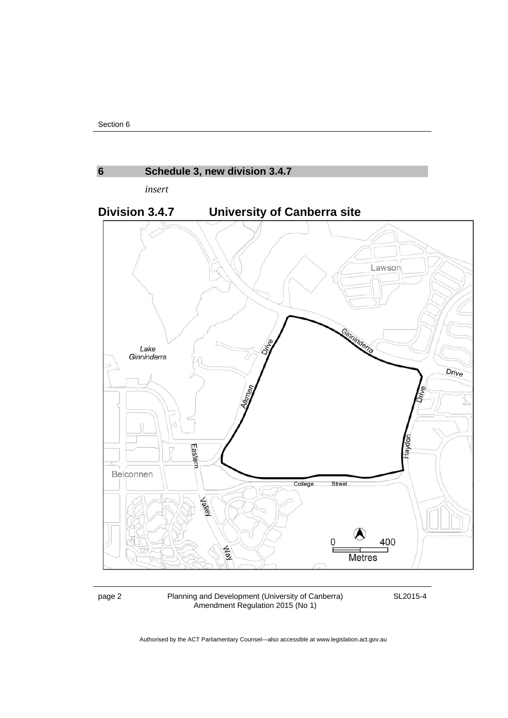<span id="page-5-0"></span>

page 2 Planning and Development (University of Canberra) Amendment Regulation 2015 (No 1)

SL2015-4